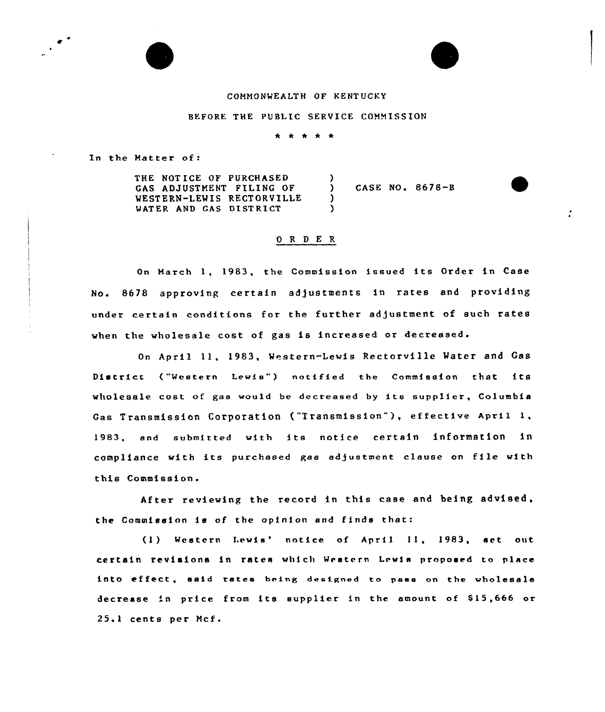## COMMONWEALTH OF KENT UCKY

## BEFORE THE PUBLIC SERVICE COMMISSION

\* \* \* \* \*

In the Matter of:

THE NOTICE OF PURCHASED GAS ADJUSTMENT FILING OF WESTERN-LEWIS RECTORVILLE WATER AND GAS DISTRICT  $\frac{1}{2}$ ) CASE NO <sup>~</sup> 8678-B  $\lambda$ )

## 0 R <sup>D</sup> E R

On March 1, 1983, the Commission issued its Order in Case No. 8678 approving certain adjustments in rates and providing under certain conditions for the further adjustment of such rates when the wholesale cost of gas is increased or decreased.

On April ll, 1983, Western-Lewis Rectorville Water and Gas District ("Western Lewis") notified the Commission that its wholesale cost of gas would be decreased by its supplier, Columbia Gas Transmission Corporation {"Transmission"), effective April 1, 1983, and submitted with its notice certain information in compliance with its purchased gas adjustment clause on file with this Commission.

After reviewing the record in this case and being advised, the Commission is of the opinion and finds that:

(1) Western Lewis' notice of April 11, 1983, set out certain revisions in rates which Western Lrwls proposed to place into effect, said rates being designed to pass on the wholesale decrease in price from its supplier in the amount of 815,666 or 25.1 cents per Hcf.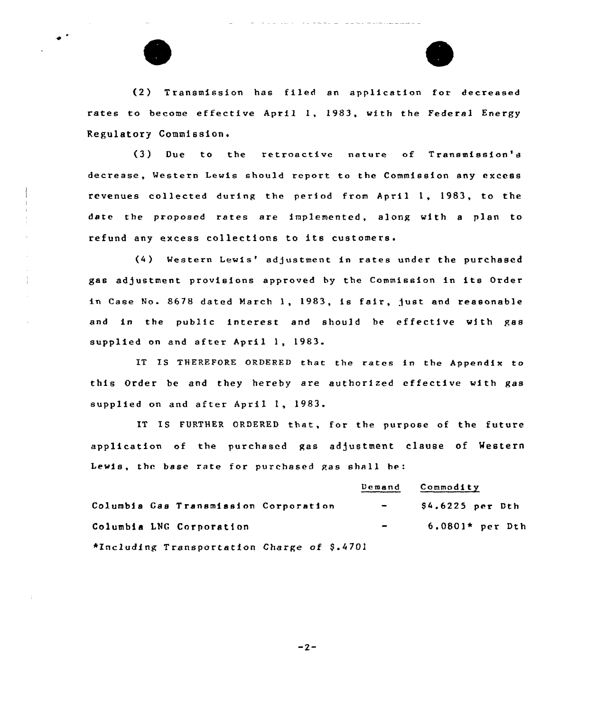



(2) Transmission has filed an application for decreased rates to become effective April 1, 1983, with the Federal Energy Regulatory Commission.

(3) Due to the retroactive nature of Transmission's decrease, Western Lewis should rcport to the Commission any excess revenues collected during the period from April 1, 1983, to the date the proposed rates are implemented, along with <sup>a</sup> plan to refund any excess collections to its customers.

) Western Lewis'd/ustment in rates under the purchased gas adjustment provisions approved by the Commission in its Order in Case No. 8678 dated March 1, 1983, is fair, Just and reasonable and in the public interest and should be effective with gas supplied on and after April 1, 1983.

IT IS THEREFORE ORDERED that the rates in the Appendix to this Order be and they hereby are authorized effective with gas supplied on and after April 1, 1983.

IT IS FURTHER ORDERED that, for the purpose of the future application of the purchased gas adjustment clause of Mestern Lewis, the base rate for purchased gas shall be:

|                                             | Demand                                                                              | Commodity         |  |
|---------------------------------------------|-------------------------------------------------------------------------------------|-------------------|--|
| Columbia Gas Transmission Corporation       | $\overline{\phantom{0}}$                                                            | $$4.6225$ per Dth |  |
| Columbia LNG Corporation                    | $\bullet$ .<br><br><br><br><br><br><br><br><br><br><br><br><br><br><br><br><br><br> | $6.0801*$ per Dth |  |
| *Including Transportation Charge of \$.4701 |                                                                                     |                   |  |

 $-2-$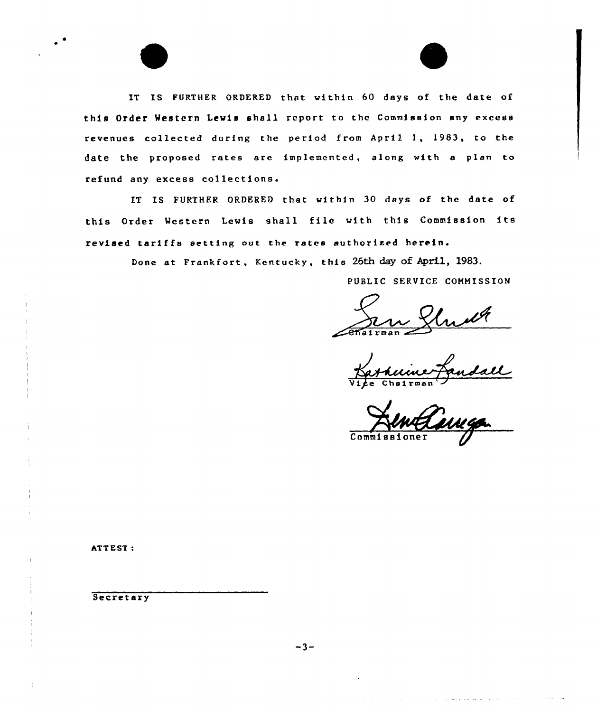IT IS FURTHER ORDERED that within 60 days of the date of this Order Western Lewis shall report to the Commission any excess revenues collected during the period from April l, 1983, to the date the proposed rates are implemented, along with a plan to refund any excess collections.

IT IS FURTHER ORDERED that within 30 days of the date of this Order Western Lewis shall file with this Commission its revised tariffs setting out the rates authorised herein.

Done at Frankfort, Kentucky, this 26th day of April, 1983.

PUBLIC SERVICE COMMISSION

 $\sqrt{e_{\text{Maltm}}$ ~~

Vice Chairma

Co

مالا وليس والرابان

ATTEST:

**Secretary**